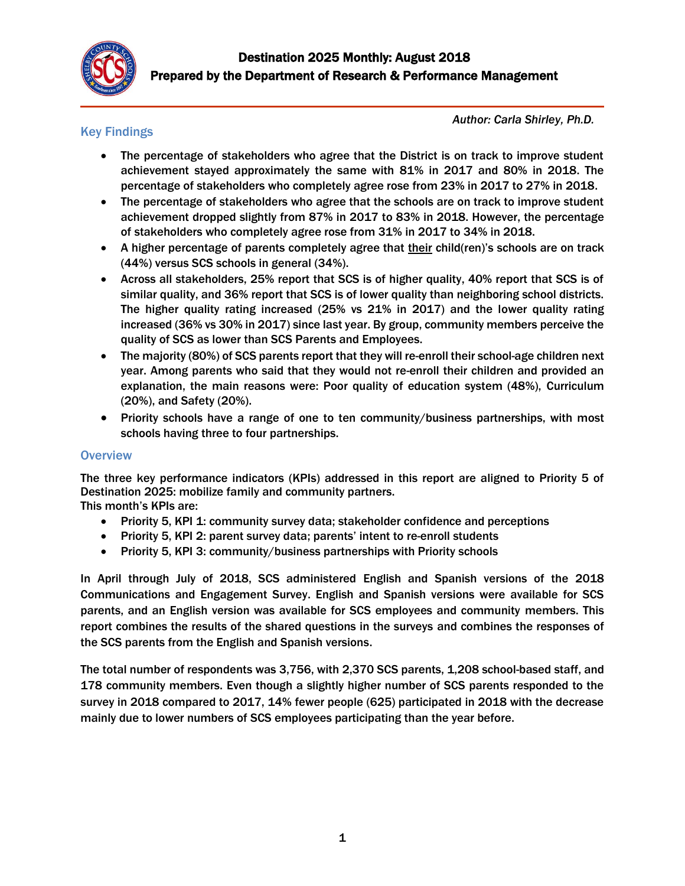

# Key Findings

*Author: Carla Shirley, Ph.D.*

- The percentage of stakeholders who agree that the District is on track to improve student achievement stayed approximately the same with 81% in 2017 and 80% in 2018. The percentage of stakeholders who completely agree rose from 23% in 2017 to 27% in 2018.
- The percentage of stakeholders who agree that the schools are on track to improve student achievement dropped slightly from 87% in 2017 to 83% in 2018. However, the percentage of stakeholders who completely agree rose from 31% in 2017 to 34% in 2018.
- A higher percentage of parents completely agree that their child(ren)'s schools are on track (44%) versus SCS schools in general (34%).
- Across all stakeholders, 25% report that SCS is of higher quality, 40% report that SCS is of similar quality, and 36% report that SCS is of lower quality than neighboring school districts. The higher quality rating increased (25% vs 21% in 2017) and the lower quality rating increased (36% vs 30% in 2017) since last year. By group, community members perceive the quality of SCS as lower than SCS Parents and Employees.
- The majority (80%) of SCS parents report that they will re-enroll their school-age children next year. Among parents who said that they would not re-enroll their children and provided an explanation, the main reasons were: Poor quality of education system (48%), Curriculum (20%), and Safety (20%).
- Priority schools have a range of one to ten community/business partnerships, with most schools having three to four partnerships.

# **Overview**

The three key performance indicators (KPIs) addressed in this report are aligned to Priority 5 of Destination 2025: mobilize family and community partners.

This month's KPIs are:

- Priority 5, KPI 1: community survey data; stakeholder confidence and perceptions
- Priority 5, KPI 2: parent survey data; parents' intent to re-enroll students
- Priority 5, KPI 3: community/business partnerships with Priority schools

In April through July of 2018, SCS administered English and Spanish versions of the 2018 Communications and Engagement Survey. English and Spanish versions were available for SCS parents, and an English version was available for SCS employees and community members. This report combines the results of the shared questions in the surveys and combines the responses of the SCS parents from the English and Spanish versions.

The total number of respondents was 3,756, with 2,370 SCS parents, 1,208 school-based staff, and 178 community members. Even though a slightly higher number of SCS parents responded to the survey in 2018 compared to 2017, 14% fewer people (625) participated in 2018 with the decrease mainly due to lower numbers of SCS employees participating than the year before.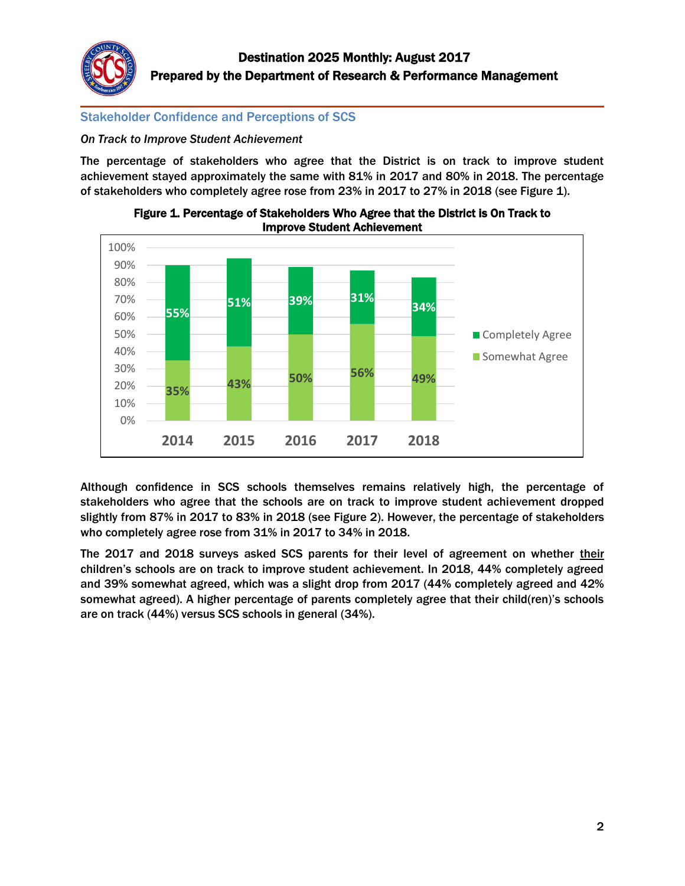

# Stakeholder Confidence and Perceptions of SCS

*On Track to Improve Student Achievement* 

The percentage of stakeholders who agree that the District is on track to improve student achievement stayed approximately the same with 81% in 2017 and 80% in 2018. The percentage of stakeholders who completely agree rose from 23% in 2017 to 27% in 2018 (see Figure 1).





Although confidence in SCS schools themselves remains relatively high, the percentage of stakeholders who agree that the schools are on track to improve student achievement dropped slightly from 87% in 2017 to 83% in 2018 (see Figure 2). However, the percentage of stakeholders who completely agree rose from 31% in 2017 to 34% in 2018.

The 2017 and 2018 surveys asked SCS parents for their level of agreement on whether their children's schools are on track to improve student achievement. In 2018, 44% completely agreed and 39% somewhat agreed, which was a slight drop from 2017 (44% completely agreed and 42% somewhat agreed). A higher percentage of parents completely agree that their child(ren)'s schools are on track (44%) versus SCS schools in general (34%).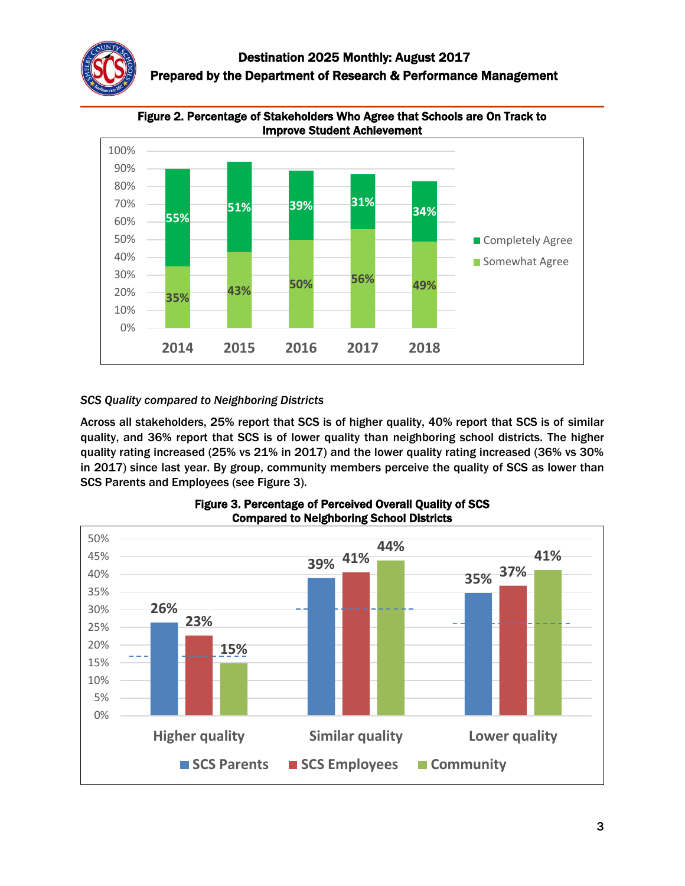



Figure 2. Percentage of Stakeholders Who Agree that Schools are On Track to

# *SCS Quality compared to Neighboring Districts*

Across all stakeholders, 25% report that SCS is of higher quality, 40% report that SCS is of similar quality, and 36% report that SCS is of lower quality than neighboring school districts. The higher quality rating increased (25% vs 21% in 2017) and the lower quality rating increased (36% vs 30% in 2017) since last year. By group, community members perceive the quality of SCS as lower than SCS Parents and Employees (see Figure 3).



Figure 3. Percentage of Perceived Overall Quality of SCS Compared to Neighboring School Districts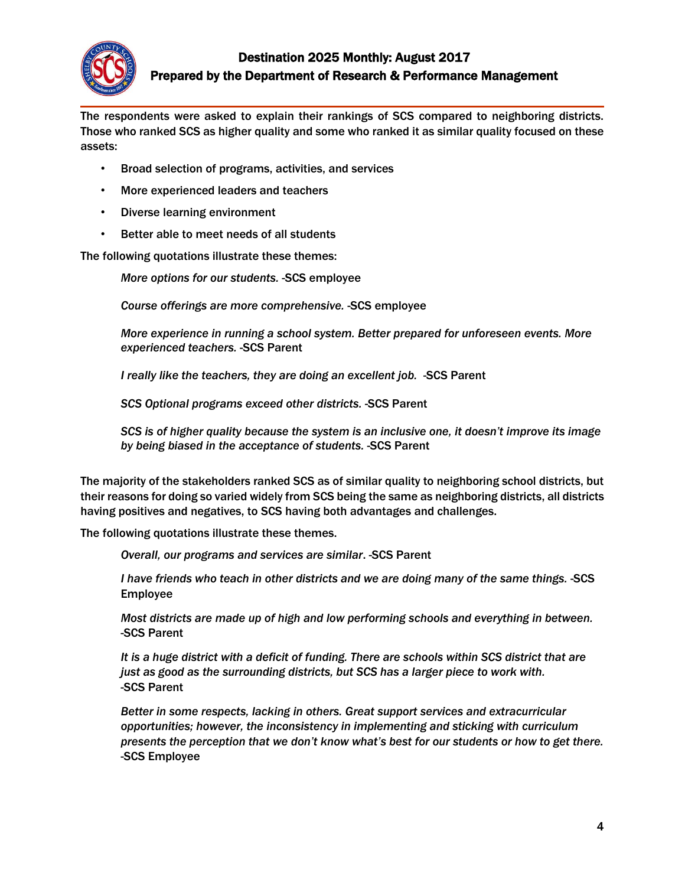

# Destination 2025 Monthly: August 2017 Prepared by the Department of Research & Performance Management

The respondents were asked to explain their rankings of SCS compared to neighboring districts. Those who ranked SCS as higher quality and some who ranked it as similar quality focused on these assets:

- Broad selection of programs, activities, and services
- More experienced leaders and teachers
- Diverse learning environment
- Better able to meet needs of all students

The following quotations illustrate these themes:

*More options for our students.* -SCS employee

*Course offerings are more comprehensive.* -SCS employee

*More experience in running a school system. Better prepared for unforeseen events. More experienced teachers.* -SCS Parent

*I really like the teachers, they are doing an excellent job.* -SCS Parent

*SCS Optional programs exceed other districts.* -SCS Parent

*SCS is of higher quality because the system is an inclusive one, it doesn't improve its image by being biased in the acceptance of students.* -SCS Parent

The majority of the stakeholders ranked SCS as of similar quality to neighboring school districts, but their reasons for doing so varied widely from SCS being the same as neighboring districts, all districts having positives and negatives, to SCS having both advantages and challenges.

The following quotations illustrate these themes.

 *Overall, our programs and services are similar*. -SCS Parent

*I have friends who teach in other districts and we are doing many of the same things.* -SCS Employee

*Most districts are made up of high and low performing schools and everything in between.* -SCS Parent

*It is a huge district with a deficit of funding. There are schools within SCS district that are just as good as the surrounding districts, but SCS has a larger piece to work with.*  -SCS Parent

*Better in some respects, lacking in others. Great support services and extracurricular opportunities; however, the inconsistency in implementing and sticking with curriculum presents the perception that we don't know what's best for our students or how to get there.* -SCS Employee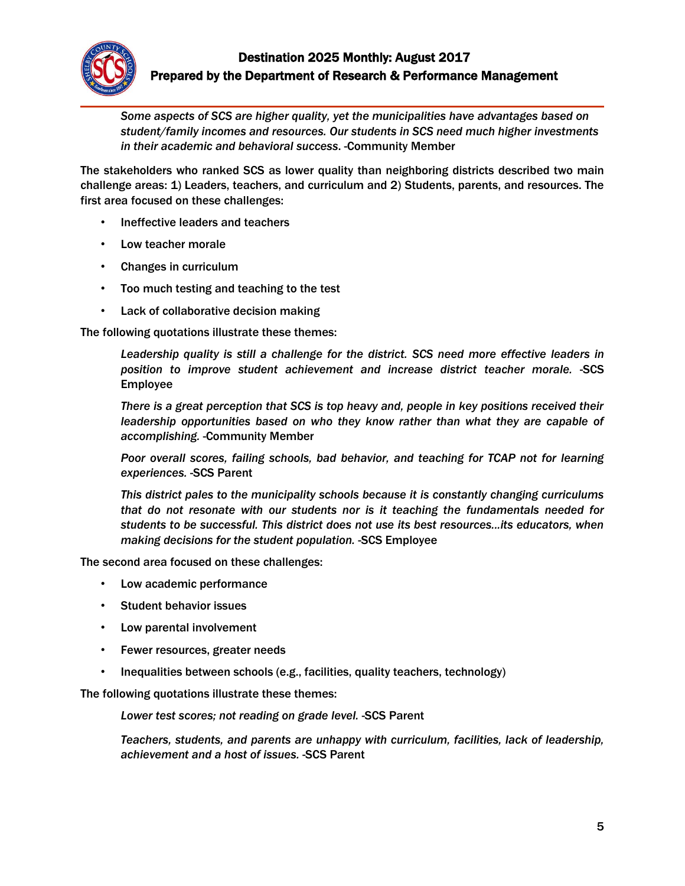

*Some aspects of SCS are higher quality, yet the municipalities have advantages based on student/family incomes and resources. Our students in SCS need much higher investments in their academic and behavioral success*. -Community Member

The stakeholders who ranked SCS as lower quality than neighboring districts described two main challenge areas: 1) Leaders, teachers, and curriculum and 2) Students, parents, and resources. The first area focused on these challenges:

- Ineffective leaders and teachers
- Low teacher morale
- Changes in curriculum
- Too much testing and teaching to the test
- Lack of collaborative decision making

The following quotations illustrate these themes:

*Leadership quality is still a challenge for the district. SCS need more effective leaders in position to improve student achievement and increase district teacher morale.* -SCS Employee

*There is a great perception that SCS is top heavy and, people in key positions received their*  leadership opportunities based on who they know rather than what they are capable of *accomplishing.* -Community Member

*Poor overall scores, failing schools, bad behavior, and teaching for TCAP not for learning experiences.* -SCS Parent

*This district pales to the municipality schools because it is constantly changing curriculums that do not resonate with our students nor is it teaching the fundamentals needed for students to be successful. This district does not use its best resources...its educators, when making decisions for the student population.* -SCS Employee

The second area focused on these challenges:

- Low academic performance
- Student behavior issues
- Low parental involvement
- Fewer resources, greater needs
- Inequalities between schools (e.g., facilities, quality teachers, technology)

The following quotations illustrate these themes:

*Lower test scores; not reading on grade level.* -SCS Parent

*Teachers, students, and parents are unhappy with curriculum, facilities, lack of leadership, achievement and a host of issues.* -SCS Parent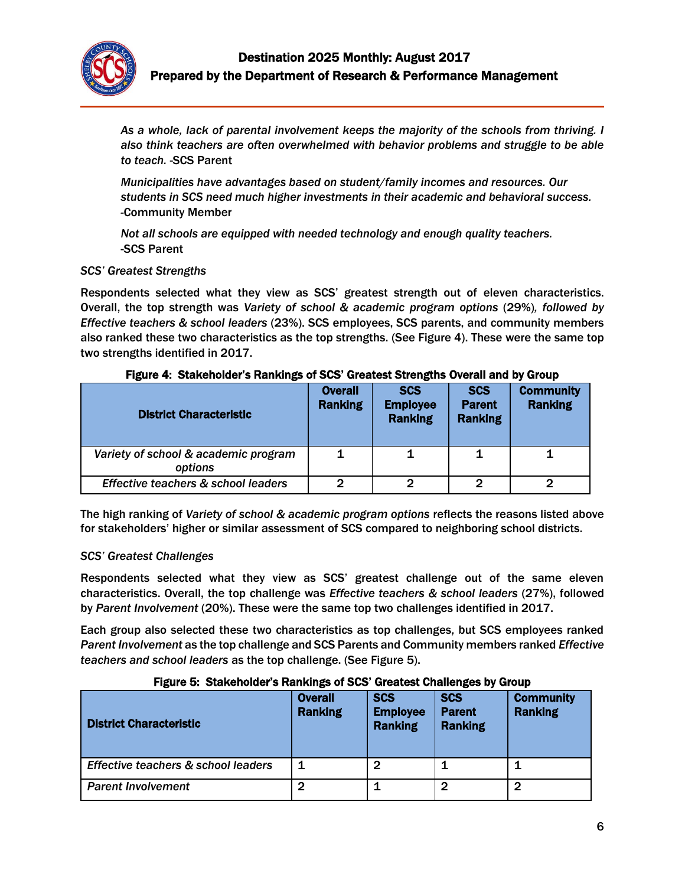

*As a whole, lack of parental involvement keeps the majority of the schools from thriving. I also think teachers are often overwhelmed with behavior problems and struggle to be able to teach.* -SCS Parent

*Municipalities have advantages based on student/family incomes and resources. Our students in SCS need much higher investments in their academic and behavioral success. -*Community Member

*Not all schools are equipped with needed technology and enough quality teachers.*  -SCS Parent

#### *SCS' Greatest Strengths*

Respondents selected what they view as SCS' greatest strength out of eleven characteristics. Overall, the top strength was *Variety of school & academic program options* (29%)*, followed by Effective teachers & school leaders* (23%). SCS employees, SCS parents, and community members also ranked these two characteristics as the top strengths. (See Figure 4). These were the same top two strengths identified in 2017.

| <b>District Characteristic</b>                  | <b>Overall</b><br><b>Ranking</b> | <b>SCS</b><br><b>Employee</b><br><b>Ranking</b> | <b>SCS</b><br><b>Parent</b><br><b>Ranking</b> | <b>Community</b><br><b>Ranking</b> |
|-------------------------------------------------|----------------------------------|-------------------------------------------------|-----------------------------------------------|------------------------------------|
| Variety of school & academic program<br>options | 1                                |                                                 |                                               |                                    |
| Effective teachers & school leaders             | $\mathbf{2}$                     | 2                                               | ႒                                             |                                    |

#### Figure 4: Stakeholder's Rankings of SCS' Greatest Strengths Overall and by Group

The high ranking of *Variety of school & academic program options* reflects the reasons listed above for stakeholders' higher or similar assessment of SCS compared to neighboring school districts.

#### *SCS' Greatest Challenges*

Respondents selected what they view as SCS' greatest challenge out of the same eleven characteristics. Overall, the top challenge was *Effective teachers & school leaders* (27%), followed by *Parent Involvement* (20%). These were the same top two challenges identified in 2017.

Each group also selected these two characteristics as top challenges, but SCS employees ranked *Parent Involvement* as the top challenge and SCS Parents and Community members ranked *Effective teachers and school leaders* as the top challenge. (See Figure 5).

#### Figure 5: Stakeholder's Rankings of SCS' Greatest Challenges by Group

| <b>District Characteristic</b>      | <b>Overall</b><br><b>Ranking</b> | <b>SCS</b><br><b>Employee</b><br><b>Ranking</b> | <b>SCS</b><br><b>Parent</b><br><b>Ranking</b> | <b>Community</b><br><b>Ranking</b> |
|-------------------------------------|----------------------------------|-------------------------------------------------|-----------------------------------------------|------------------------------------|
| Effective teachers & school leaders | 1                                | 2                                               |                                               |                                    |
| <b>Parent Involvement</b>           | 2                                |                                                 | 2                                             | 2                                  |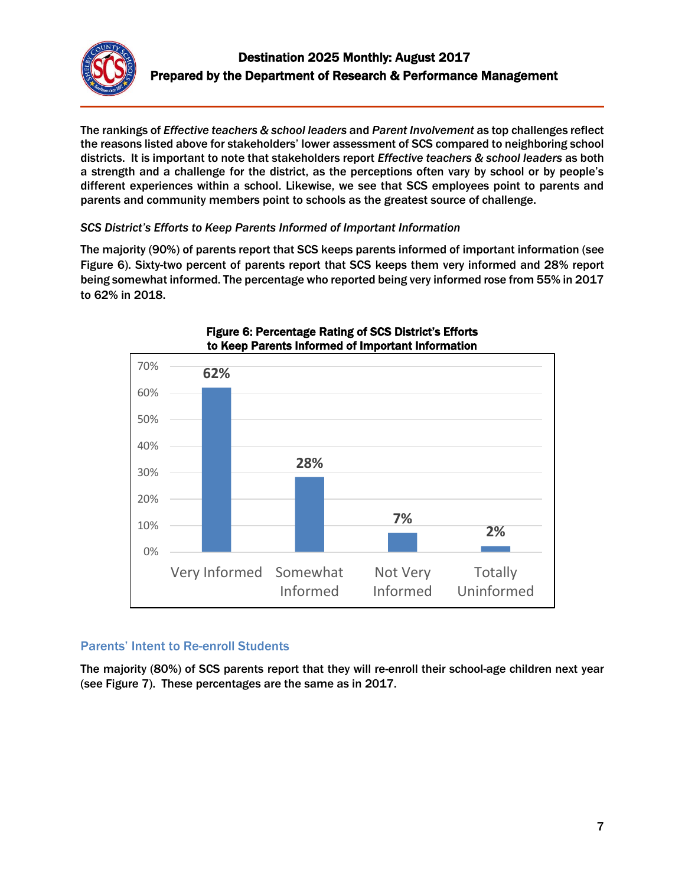

The rankings of *Effective teachers & school leaders* and *Parent Involvement* as top challenges reflect the reasons listed above for stakeholders' lower assessment of SCS compared to neighboring school districts. It is important to note that stakeholders report *Effective teachers & school leaders* as both a strength and a challenge for the district, as the perceptions often vary by school or by people's different experiences within a school. Likewise, we see that SCS employees point to parents and parents and community members point to schools as the greatest source of challenge.

## *SCS District's Efforts to Keep Parents Informed of Important Information*

The majority (90%) of parents report that SCS keeps parents informed of important information (see Figure 6). Sixty-two percent of parents report that SCS keeps them very informed and 28% report being somewhat informed. The percentage who reported being very informed rose from 55% in 2017 to 62% in 2018.



### Figure 6: Percentage Rating of SCS District's Efforts to Keep Parents Informed of Important Information

# Parents' Intent to Re-enroll Students

The majority (80%) of SCS parents report that they will re-enroll their school-age children next year (see Figure 7). These percentages are the same as in 2017.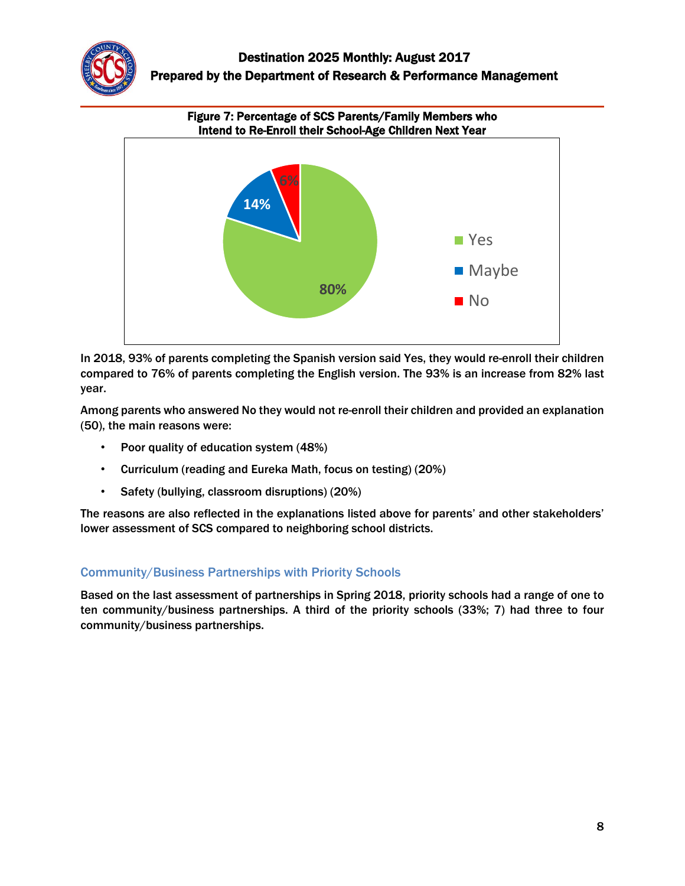



# In 2018, 93% of parents completing the Spanish version said Yes, they would re-enroll their children compared to 76% of parents completing the English version. The 93% is an increase from 82% last year.

Among parents who answered No they would not re-enroll their children and provided an explanation (50), the main reasons were:

- Poor quality of education system (48%)
- Curriculum (reading and Eureka Math, focus on testing) (20%)
- Safety (bullying, classroom disruptions) (20%)

The reasons are also reflected in the explanations listed above for parents' and other stakeholders' lower assessment of SCS compared to neighboring school districts.

# Community/Business Partnerships with Priority Schools

Based on the last assessment of partnerships in Spring 2018, priority schools had a range of one to ten community/business partnerships. A third of the priority schools (33%; 7) had three to four community/business partnerships.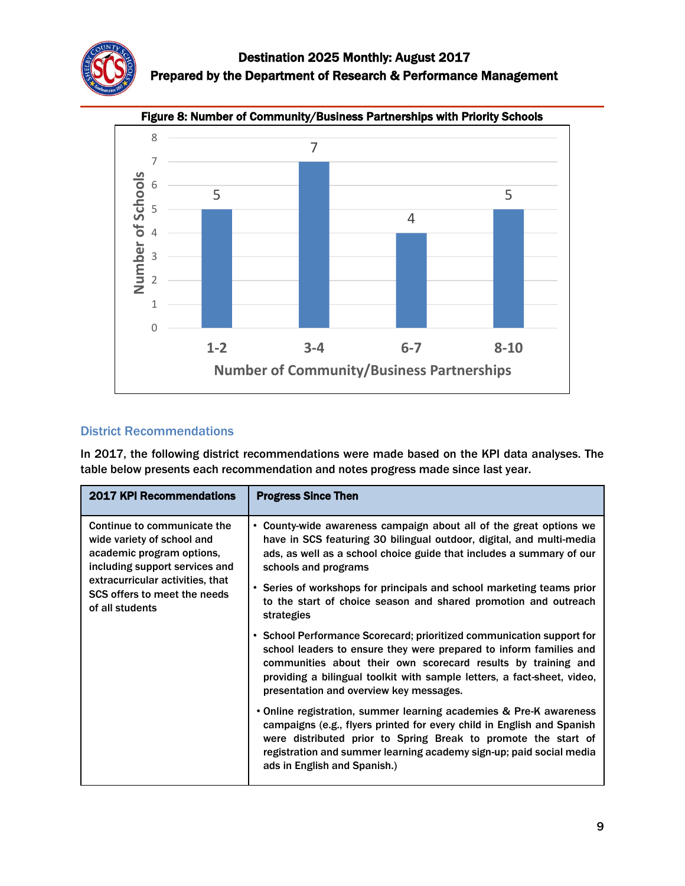



# Figure 8: Number of Community/Business Partnerships with Priority Schools

# District Recommendations

In 2017, the following district recommendations were made based on the KPI data analyses. The table below presents each recommendation and notes progress made since last year.

| <b>2017 KPI Recommendations</b>                                                                                                                                                                                 | <b>Progress Since Then</b>                                                                                                                                                                                                                                                                                                                                                             |
|-----------------------------------------------------------------------------------------------------------------------------------------------------------------------------------------------------------------|----------------------------------------------------------------------------------------------------------------------------------------------------------------------------------------------------------------------------------------------------------------------------------------------------------------------------------------------------------------------------------------|
| Continue to communicate the<br>wide variety of school and<br>academic program options,<br>including support services and<br>extracurricular activities, that<br>SCS offers to meet the needs<br>of all students | • County-wide awareness campaign about all of the great options we<br>have in SCS featuring 30 bilingual outdoor, digital, and multi-media<br>ads, as well as a school choice guide that includes a summary of our<br>schools and programs<br>• Series of workshops for principals and school marketing teams prior<br>to the start of choice season and shared promotion and outreach |
|                                                                                                                                                                                                                 | strategies<br>• School Performance Scorecard; prioritized communication support for<br>school leaders to ensure they were prepared to inform families and<br>communities about their own scorecard results by training and<br>providing a bilingual toolkit with sample letters, a fact-sheet, video,<br>presentation and overview key messages.                                       |
|                                                                                                                                                                                                                 | • Online registration, summer learning academies & Pre-K awareness<br>campaigns (e.g., flyers printed for every child in English and Spanish<br>were distributed prior to Spring Break to promote the start of<br>registration and summer learning academy sign-up; paid social media<br>ads in English and Spanish.)                                                                  |